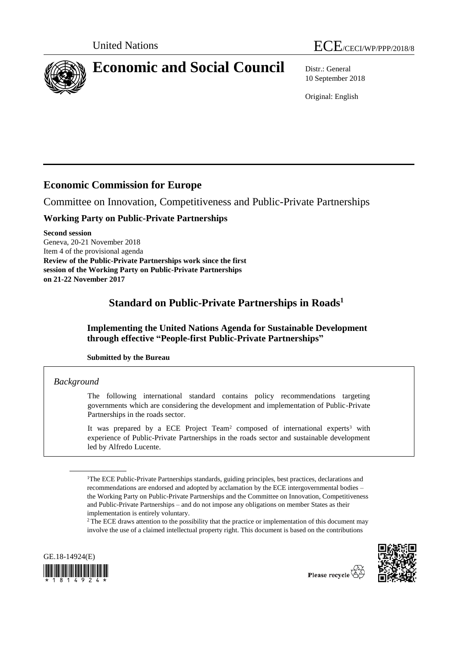

10 September 2018

Original: English

# **Economic Commission for Europe**

Committee on Innovation, Competitiveness and Public-Private Partnerships

## **Working Party on Public-Private Partnerships**

**Second session** Geneva, 20-21 November 2018 Item 4 of the provisional agenda **Review of the Public-Private Partnerships work since the first session of the Working Party on Public-Private Partnerships on 21-22 November 2017**

# **Standard on Public-Private Partnerships in Roads<sup>1</sup>**

**Implementing the United Nations Agenda for Sustainable Development through effective "People-first Public-Private Partnerships"**

## **Submitted by the Bureau**

## *Background*

The following international standard contains policy recommendations targeting governments which are considering the development and implementation of Public-Private Partnerships in the roads sector.

It was prepared by a ECE Project Team<sup>2</sup> composed of international experts<sup>3</sup> with experience of Public-Private Partnerships in the roads sector and sustainable development led by Alfredo Lucente.

<sup>2</sup> The ECE draws attention to the possibility that the practice or implementation of this document may involve the use of a claimed intellectual property right. This document is based on the contributions





<sup>&</sup>lt;sup>1</sup>The ECE Public-Private Partnerships standards, guiding principles, best practices, declarations and recommendations are endorsed and adopted by acclamation by the ECE intergovernmental bodies – the Working Party on Public-Private Partnerships and the Committee on Innovation, Competitiveness and Public-Private Partnerships – and do not impose any obligations on member States as their implementation is entirely voluntary.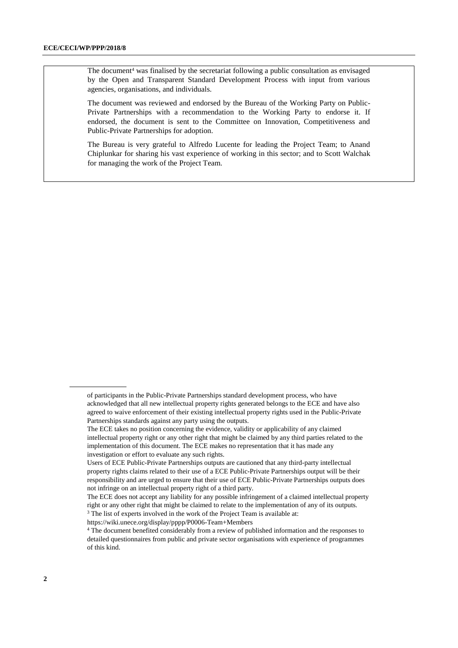The document<sup>4</sup> was finalised by the secretariat following a public consultation as envisaged by the Open and Transparent Standard Development Process with input from various agencies, organisations, and individuals.

The document was reviewed and endorsed by the Bureau of the Working Party on Public-Private Partnerships with a recommendation to the Working Party to endorse it. If endorsed, the document is sent to the Committee on Innovation, Competitiveness and Public-Private Partnerships for adoption.

The Bureau is very grateful to Alfredo Lucente for leading the Project Team; to Anand Chiplunkar for sharing his vast experience of working in this sector; and to Scott Walchak for managing the work of the Project Team.

<https://wiki.unece.org/display/pppp/P0006-Team+Members>

of participants in the Public-Private Partnerships standard development process, who have acknowledged that all new intellectual property rights generated belongs to the ECE and have also agreed to waive enforcement of their existing intellectual property rights used in the Public-Private Partnerships standards against any party using the outputs.

The ECE takes no position concerning the evidence, validity or applicability of any claimed intellectual property right or any other right that might be claimed by any third parties related to the implementation of this document. The ECE makes no representation that it has made any investigation or effort to evaluate any such rights.

Users of ECE Public-Private Partnerships outputs are cautioned that any third-party intellectual property rights claims related to their use of a ECE Public-Private Partnerships output will be their responsibility and are urged to ensure that their use of ECE Public-Private Partnerships outputs does not infringe on an intellectual property right of a third party.

The ECE does not accept any liability for any possible infringement of a claimed intellectual property right or any other right that might be claimed to relate to the implementation of any of its outputs. <sup>3</sup> The list of experts involved in the work of the Project Team is available at:

<sup>4</sup> The document benefited considerably from a review of published information and the responses to detailed questionnaires from public and private sector organisations with experience of programmes of this kind.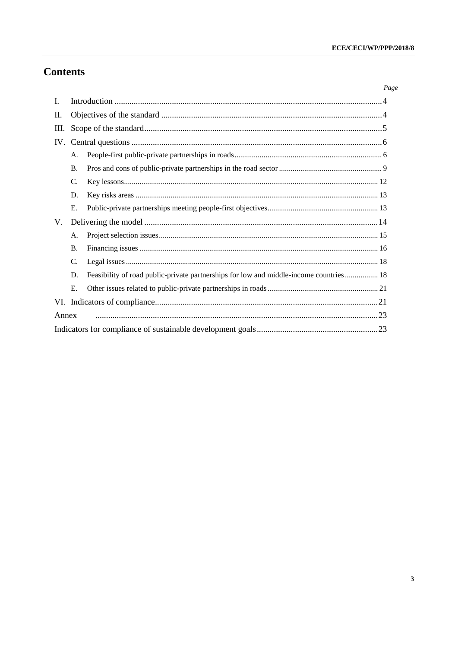# **Contents**

|       |                 |                                                                                         | Page |
|-------|-----------------|-----------------------------------------------------------------------------------------|------|
| L     |                 |                                                                                         |      |
| П.    |                 |                                                                                         |      |
| Ш.    |                 |                                                                                         |      |
|       |                 |                                                                                         |      |
|       | А.              |                                                                                         |      |
|       | $\mathbf{B}$ .  |                                                                                         |      |
|       | $\mathcal{C}$ . |                                                                                         |      |
|       | D.              |                                                                                         |      |
|       | E.              |                                                                                         |      |
| V.    |                 |                                                                                         |      |
|       | A.              |                                                                                         |      |
|       | <b>B.</b>       |                                                                                         |      |
|       | C.              |                                                                                         |      |
|       | D.              | Feasibility of road public-private partnerships for low and middle-income countries  18 |      |
|       | E.              |                                                                                         |      |
|       |                 |                                                                                         |      |
| Annex |                 |                                                                                         |      |
|       |                 |                                                                                         |      |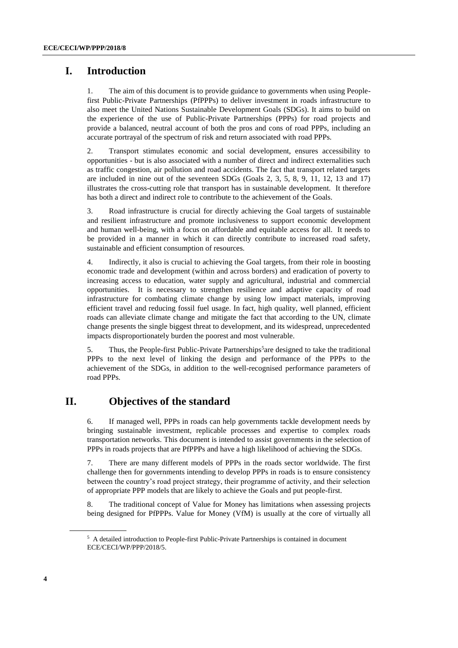## <span id="page-3-0"></span>**I. Introduction**

1. The aim of this document is to provide guidance to governments when using Peoplefirst Public-Private Partnerships (PfPPPs) to deliver investment in roads infrastructure to also meet the United Nations Sustainable Development Goals (SDGs). It aims to build on the experience of the use of Public-Private Partnerships (PPPs) for road projects and provide a balanced, neutral account of both the pros and cons of road PPPs, including an accurate portrayal of the spectrum of risk and return associated with road PPPs.

2. Transport stimulates economic and social development, ensures accessibility to opportunities - but is also associated with a number of direct and indirect externalities such as traffic congestion, air pollution and road accidents. The fact that transport related targets are included in nine out of the seventeen SDGs (Goals 2, 3, 5, 8, 9, 11, 12, 13 and 17) illustrates the cross-cutting role that transport has in sustainable development. It therefore has both a direct and indirect role to contribute to the achievement of the Goals.

3. Road infrastructure is crucial for directly achieving the Goal targets of sustainable and resilient infrastructure and promote inclusiveness to support economic development and human well-being, with a focus on affordable and equitable access for all. It needs to be provided in a manner in which it can directly contribute to increased road safety, sustainable and efficient consumption of resources.

4. Indirectly, it also is crucial to achieving the Goal targets, from their role in boosting economic trade and development (within and across borders) and eradication of poverty to increasing access to education, water supply and agricultural, industrial and commercial opportunities. It is necessary to strengthen resilience and adaptive capacity of road infrastructure for combating climate change by using low impact materials, improving efficient travel and reducing fossil fuel usage. In fact, high quality, well planned, efficient roads can alleviate climate change and mitigate the fact that according to the UN, climate change presents the single biggest threat to development, and its widespread, unprecedented impacts disproportionately burden the poorest and most vulnerable.

5. Thus, the People-first Public-Private Partnerships<sup>5</sup> are designed to take the traditional PPPs to the next level of linking the design and performance of the PPPs to the achievement of the SDGs, in addition to the well-recognised performance parameters of road PPPs.

## **II. Objectives of the standard**

<span id="page-3-1"></span>6. If managed well, PPPs in roads can help governments tackle development needs by bringing sustainable investment, replicable processes and expertise to complex roads transportation networks. This document is intended to assist governments in the selection of PPPs in roads projects that are PfPPPs and have a high likelihood of achieving the SDGs.

7. There are many different models of PPPs in the roads sector worldwide. The first challenge then for governments intending to develop PPPs in roads is to ensure consistency between the country's road project strategy, their programme of activity, and their selection of appropriate PPP models that are likely to achieve the Goals and put people-first.

8. The traditional concept of Value for Money has limitations when assessing projects being designed for PfPPPs. Value for Money (VfM) is usually at the core of virtually all

<sup>&</sup>lt;sup>5</sup> A detailed introduction to People-first Public-Private Partnerships is contained in document ECE/CECI/WP/PPP/2018/5.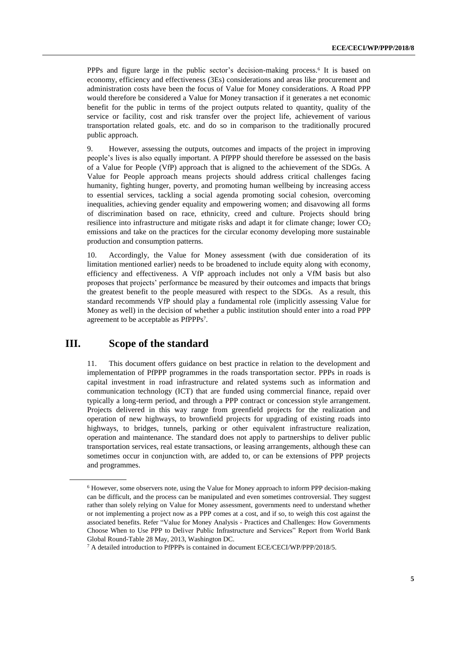PPPs and figure large in the public sector's decision-making process.<sup>6</sup> It is based on economy, efficiency and effectiveness (3Es) considerations and areas like procurement and administration costs have been the focus of Value for Money considerations. A Road PPP would therefore be considered a Value for Money transaction if it generates a net economic benefit for the public in terms of the project outputs related to quantity, quality of the service or facility, cost and risk transfer over the project life, achievement of various transportation related goals, etc. and do so in comparison to the traditionally procured public approach.

9. However, assessing the outputs, outcomes and impacts of the project in improving people's lives is also equally important. A PfPPP should therefore be assessed on the basis of a Value for People (VfP) approach that is aligned to the achievement of the SDGs. A Value for People approach means projects should address critical challenges facing humanity, fighting hunger, poverty, and promoting human wellbeing by increasing access to essential services, tackling a social agenda promoting social cohesion, overcoming inequalities, achieving gender equality and empowering women; and disavowing all forms of discrimination based on race, ethnicity, creed and culture. Projects should bring resilience into infrastructure and mitigate risks and adapt it for climate change; lower  $CO<sub>2</sub>$ emissions and take on the practices for the circular economy developing more sustainable production and consumption patterns.

10. Accordingly, the Value for Money assessment (with due consideration of its limitation mentioned earlier) needs to be broadened to include equity along with economy, efficiency and effectiveness. A VfP approach includes not only a VfM basis but also proposes that projects' performance be measured by their outcomes and impacts that brings the greatest benefit to the people measured with respect to the SDGs. As a result, this standard recommends VfP should play a fundamental role (implicitly assessing Value for Money as well) in the decision of whether a public institution should enter into a road PPP agreement to be acceptable as PfPPPs<sup>7</sup> .

## **III. Scope of the standard**

<span id="page-4-0"></span>11. This document offers guidance on best practice in relation to the development and implementation of PfPPP programmes in the roads transportation sector. PPPs in roads is capital investment in road infrastructure and related systems such as information and communication technology (ICT) that are funded using commercial finance, repaid over typically a long-term period, and through a PPP contract or concession style arrangement. Projects delivered in this way range from greenfield projects for the realization and operation of new highways, to brownfield projects for upgrading of existing roads into highways, to bridges, tunnels, parking or other equivalent infrastructure realization, operation and maintenance. The standard does not apply to partnerships to deliver public transportation services, real estate transactions, or leasing arrangements, although these can sometimes occur in conjunction with, are added to, or can be extensions of PPP projects and programmes.

<sup>6</sup> However, some observers note, using the Value for Money approach to inform PPP decision-making can be difficult, and the process can be manipulated and even sometimes controversial. They suggest rather than solely relying on Value for Money assessment, governments need to understand whether or not implementing a project now as a PPP comes at a cost, and if so, to weigh this cost against the associated benefits. Refer "Value for Money Analysis - Practices and Challenges: How Governments Choose When to Use PPP to Deliver Public Infrastructure and Services" Report from World Bank Global Round-Table 28 May, 2013, Washington DC.

<sup>7</sup> A detailed introduction to PfPPPs is contained in document ECE/CECI/WP/PPP/2018/5.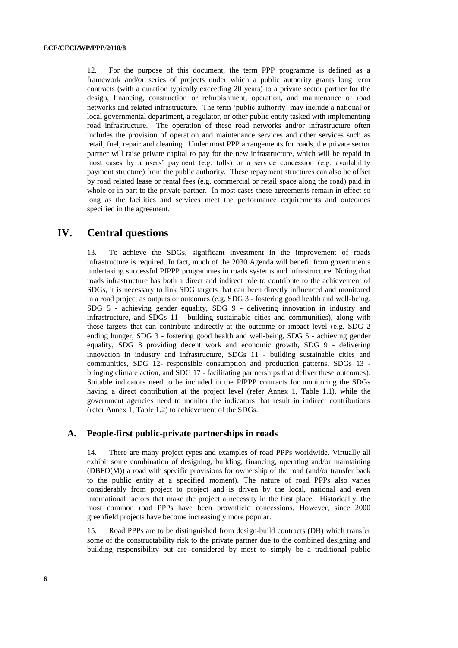12. For the purpose of this document, the term PPP programme is defined as a framework and/or series of projects under which a public authority grants long term contracts (with a duration typically exceeding 20 years) to a private sector partner for the design, financing, construction or refurbishment, operation, and maintenance of road networks and related infrastructure. The term 'public authority' may include a national or local governmental department, a regulator, or other public entity tasked with implementing road infrastructure. The operation of these road networks and/or infrastructure often includes the provision of operation and maintenance services and other services such as retail, fuel, repair and cleaning. Under most PPP arrangements for roads, the private sector partner will raise private capital to pay for the new infrastructure, which will be repaid in most cases by a users' payment (e.g. tolls) or a service concession (e.g. availability payment structure) from the public authority. These repayment structures can also be offset by road related lease or rental fees (e.g. commercial or retail space along the road) paid in whole or in part to the private partner. In most cases these agreements remain in effect so long as the facilities and services meet the performance requirements and outcomes specified in the agreement.

## <span id="page-5-0"></span>**IV. Central questions**

13. To achieve the SDGs, significant investment in the improvement of roads infrastructure is required. In fact, much of the 2030 Agenda will benefit from governments undertaking successful PfPPP programmes in roads systems and infrastructure. Noting that roads infrastructure has both a direct and indirect role to contribute to the achievement of SDGs, it is necessary to link SDG targets that can been directly influenced and monitored in a road project as outputs or outcomes (e.g. SDG 3 - fostering good health and well-being, SDG 5 - achieving gender equality, SDG 9 - delivering innovation in industry and infrastructure, and SDGs 11 - building sustainable cities and communities), along with those targets that can contribute indirectly at the outcome or impact level (e.g. SDG 2 ending hunger, SDG 3 - fostering good health and well-being, SDG 5 - achieving gender equality, SDG 8 providing decent work and economic growth, SDG 9 - delivering innovation in industry and infrastructure, SDGs 11 - building sustainable cities and communities, SDG 12- responsible consumption and production patterns, SDGs 13 bringing climate action, and SDG 17 - facilitating partnerships that deliver these outcomes). Suitable indicators need to be included in the PfPPP contracts for monitoring the SDGs having a direct contribution at the project level (refer Annex 1, Table 1.1), while the government agencies need to monitor the indicators that result in indirect contributions (refer Annex 1, Table 1.2) to achievement of the SDGs.

### <span id="page-5-1"></span>**A. People-first public-private partnerships in roads**

14. There are many project types and examples of road PPPs worldwide. Virtually all exhibit some combination of designing, building, financing, operating and/or maintaining (DBFO(M)) a road with specific provisions for ownership of the road (and/or transfer back to the public entity at a specified moment). The nature of road PPPs also varies considerably from project to project and is driven by the local, national and even international factors that make the project a necessity in the first place. Historically, the most common road PPPs have been brownfield concessions. However, since 2000 greenfield projects have become increasingly more popular.

15. Road PPPs are to be distinguished from design-build contracts (DB) which transfer some of the constructability risk to the private partner due to the combined designing and building responsibility but are considered by most to simply be a traditional public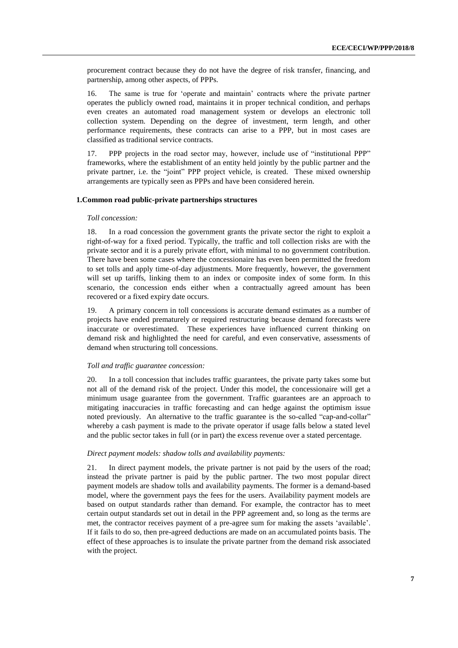procurement contract because they do not have the degree of risk transfer, financing, and partnership, among other aspects, of PPPs.

16. The same is true for 'operate and maintain' contracts where the private partner operates the publicly owned road, maintains it in proper technical condition, and perhaps even creates an automated road management system or develops an electronic toll collection system. Depending on the degree of investment, term length, and other performance requirements, these contracts can arise to a PPP, but in most cases are classified as traditional service contracts.

17. PPP projects in the road sector may, however, include use of "institutional PPP" frameworks, where the establishment of an entity held jointly by the public partner and the private partner, i.e. the "joint" PPP project vehicle, is created. These mixed ownership arrangements are typically seen as PPPs and have been considered herein.

## **1.Common road public-private partnerships structures**

#### *Toll concession:*

18. In a road concession the government grants the private sector the right to exploit a right-of-way for a fixed period. Typically, the traffic and toll collection risks are with the private sector and it is a purely private effort, with minimal to no government contribution. There have been some cases where the concessionaire has even been permitted the freedom to set tolls and apply time-of-day adjustments. More frequently, however, the government will set up tariffs, linking them to an index or composite index of some form. In this scenario, the concession ends either when a contractually agreed amount has been recovered or a fixed expiry date occurs.

19. A primary concern in toll concessions is accurate demand estimates as a number of projects have ended prematurely or required restructuring because demand forecasts were inaccurate or overestimated. These experiences have influenced current thinking on demand risk and highlighted the need for careful, and even conservative, assessments of demand when structuring toll concessions.

#### *Toll and traffic guarantee concession:*

20. In a toll concession that includes traffic guarantees, the private party takes some but not all of the demand risk of the project. Under this model, the concessionaire will get a minimum usage guarantee from the government. Traffic guarantees are an approach to mitigating inaccuracies in traffic forecasting and can hedge against the optimism issue noted previously. An alternative to the traffic guarantee is the so-called "cap-and-collar" whereby a cash payment is made to the private operator if usage falls below a stated level and the public sector takes in full (or in part) the excess revenue over a stated percentage.

#### *Direct payment models: shadow tolls and availability payments:*

21. In direct payment models, the private partner is not paid by the users of the road; instead the private partner is paid by the public partner. The two most popular direct payment models are shadow tolls and availability payments. The former is a demand-based model, where the government pays the fees for the users. Availability payment models are based on output standards rather than demand. For example, the contractor has to meet certain output standards set out in detail in the PPP agreement and, so long as the terms are met, the contractor receives payment of a pre-agree sum for making the assets 'available'. If it fails to do so, then pre-agreed deductions are made on an accumulated points basis. The effect of these approaches is to insulate the private partner from the demand risk associated with the project.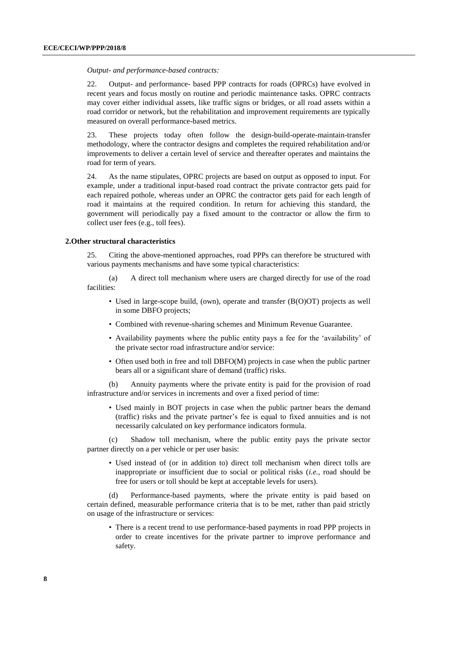*Output- and performance-based contracts:*

22. Output- and performance- based PPP contracts for roads (OPRCs) have evolved in recent years and focus mostly on routine and periodic maintenance tasks. OPRC contracts may cover either individual assets, like traffic signs or bridges, or all road assets within a road corridor or network, but the rehabilitation and improvement requirements are typically measured on overall performance-based metrics.

23. These projects today often follow the design-build-operate-maintain-transfer methodology, where the contractor designs and completes the required rehabilitation and/or improvements to deliver a certain level of service and thereafter operates and maintains the road for term of years.

24. As the name stipulates, OPRC projects are based on output as opposed to input. For example, under a traditional input-based road contract the private contractor gets paid for each repaired pothole, whereas under an OPRC the contractor gets paid for each length of road it maintains at the required condition. In return for achieving this standard, the government will periodically pay a fixed amount to the contractor or allow the firm to collect user fees (e.g., toll fees).

#### **2.Other structural characteristics**

25. Citing the above-mentioned approaches, road PPPs can therefore be structured with various payments mechanisms and have some typical characteristics:

(a) A direct toll mechanism where users are charged directly for use of the road facilities:

- Used in large-scope build, (own), operate and transfer (B(O)OT) projects as well in some DBFO projects;
- Combined with revenue-sharing schemes and Minimum Revenue Guarantee.
- Availability payments where the public entity pays a fee for the 'availability' of the private sector road infrastructure and/or service:
- Often used both in free and toll DBFO(M) projects in case when the public partner bears all or a significant share of demand (traffic) risks.

(b) Annuity payments where the private entity is paid for the provision of road infrastructure and/or services in increments and over a fixed period of time:

• Used mainly in BOT projects in case when the public partner bears the demand (traffic) risks and the private partner's fee is equal to fixed annuities and is not necessarily calculated on key performance indicators formula.

(c) Shadow toll mechanism, where the public entity pays the private sector partner directly on a per vehicle or per user basis:

• Used instead of (or in addition to) direct toll mechanism when direct tolls are inappropriate or insufficient due to social or political risks (*i.e.*, road should be free for users or toll should be kept at acceptable levels for users).

(d) Performance-based payments, where the private entity is paid based on certain defined, measurable performance criteria that is to be met, rather than paid strictly on usage of the infrastructure or services:

• There is a recent trend to use performance-based payments in road PPP projects in order to create incentives for the private partner to improve performance and safety.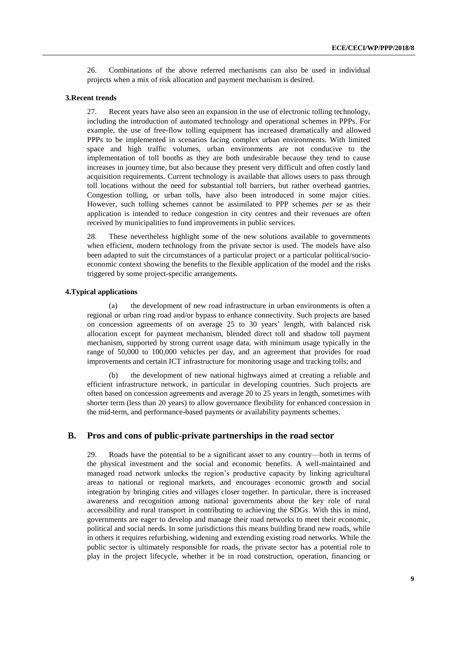26. Combinations of the above referred mechanisms can also be used in individual projects when a mix of risk allocation and payment mechanism is desired.

#### **3.Recent trends**

27. Recent years have also seen an expansion in the use of electronic tolling technology, including the introduction of automated technology and operational schemes in PPPs. For example, the use of free-flow tolling equipment has increased dramatically and allowed PPPs to be implemented in scenarios facing complex urban environments. With limited space and high traffic volumes, urban environments are not conducive to the implementation of toll booths as they are both undesirable because they tend to cause increases in journey time, but also because they present very difficult and often costly land acquisition requirements. Current technology is available that allows users to pass through toll locations without the need for substantial toll barriers, but rather overhead gantries. Congestion tolling, or urban tolls, have also been introduced in some major cities. However, such tolling schemes cannot be assimilated to PPP schemes *per se* as their application is intended to reduce congestion in city centres and their revenues are often received by municipalities to fund improvements in public services.

28. These nevertheless highlight some of the new solutions available to governments when efficient, modern technology from the private sector is used. The models have also been adapted to suit the circumstances of a particular project or a particular political/socioeconomic context showing the benefits to the flexible application of the model and the risks triggered by some project-specific arrangements.

#### **4.Typical applications**

(a) the development of new road infrastructure in urban environments is often a regional or urban ring road and/or bypass to enhance connectivity. Such projects are based on concession agreements of on average 25 to 30 years' length, with balanced risk allocation except for payment mechanism, blended direct toll and shadow toll payment mechanism, supported by strong current usage data, with minimum usage typically in the range of 50,000 to 100,000 vehicles per day, and an agreement that provides for road improvements and certain ICT infrastructure for monitoring usage and tracking tolls; and

the development of new national highways aimed at creating a reliable and efficient infrastructure network, in particular in developing countries. Such projects are often based on concession agreements and average 20 to 25 years in length, sometimes with shorter term (less than 20 years) to allow governance flexibility for enhanced concession in the mid-term, and performance-based payments or availability payments schemes.

## <span id="page-8-0"></span>**B. Pros and cons of public-private partnerships in the road sector**

29. Roads have the potential to be a significant asset to any country—both in terms of the physical investment and the social and economic benefits. A well-maintained and managed road network unlocks the region's productive capacity by linking agricultural areas to national or regional markets, and encourages economic growth and social integration by bringing cities and villages closer together. In particular, there is increased awareness and recognition among national governments about the key role of rural accessibility and rural transport in contributing to achieving the SDGs. With this in mind, governments are eager to develop and manage their road networks to meet their economic, political and social needs. In some jurisdictions this means building brand new roads, while in others it requires refurbishing, widening and extending existing road networks. While the public sector is ultimately responsible for roads, the private sector has a potential role to play in the project lifecycle, whether it be in road construction, operation, financing or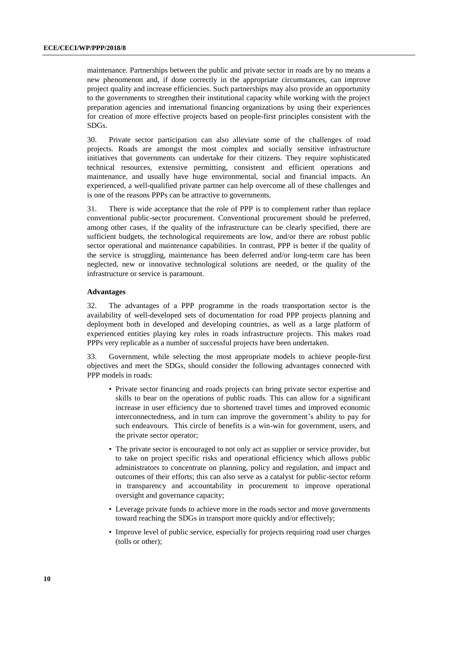maintenance. Partnerships between the public and private sector in roads are by no means a new phenomenon and, if done correctly in the appropriate circumstances, can improve project quality and increase efficiencies. Such partnerships may also provide an opportunity to the governments to strengthen their institutional capacity while working with the project preparation agencies and international financing organizations by using their experiences for creation of more effective projects based on people-first principles consistent with the SDGs.

30. Private sector participation can also alleviate some of the challenges of road projects. Roads are amongst the most complex and socially sensitive infrastructure initiatives that governments can undertake for their citizens. They require sophisticated technical resources, extensive permitting, consistent and efficient operations and maintenance, and usually have huge environmental, social and financial impacts. An experienced, a well-qualified private partner can help overcome all of these challenges and is one of the reasons PPPs can be attractive to governments.

31. There is wide acceptance that the role of PPP is to complement rather than replace conventional public-sector procurement. Conventional procurement should be preferred, among other cases, if the quality of the infrastructure can be clearly specified, there are sufficient budgets, the technological requirements are low, and/or there are robust public sector operational and maintenance capabilities. In contrast, PPP is better if the quality of the service is struggling, maintenance has been deferred and/or long-term care has been neglected, new or innovative technological solutions are needed, or the quality of the infrastructure or service is paramount.

#### **Advantages**

32. The advantages of a PPP programme in the roads transportation sector is the availability of well-developed sets of documentation for road PPP projects planning and deployment both in developed and developing countries, as well as a large platform of experienced entities playing key roles in roads infrastructure projects. This makes road PPPs very replicable as a number of successful projects have been undertaken.

33. Government, while selecting the most appropriate models to achieve people-first objectives and meet the SDGs, should consider the following advantages connected with PPP models in roads:

- Private sector financing and roads projects can bring private sector expertise and skills to bear on the operations of public roads. This can allow for a significant increase in user efficiency due to shortened travel times and improved economic interconnectedness, and in turn can improve the government's ability to pay for such endeavours. This circle of benefits is a win-win for government, users, and the private sector operator;
- The private sector is encouraged to not only act as supplier or service provider, but to take on project specific risks and operational efficiency which allows public administrators to concentrate on planning, policy and regulation, and impact and outcomes of their efforts; this can also serve as a catalyst for public-sector reform in transparency and accountability in procurement to improve operational oversight and governance capacity;
- Leverage private funds to achieve more in the roads sector and move governments toward reaching the SDGs in transport more quickly and/or effectively;
- Improve level of public service, especially for projects requiring road user charges (tolls or other);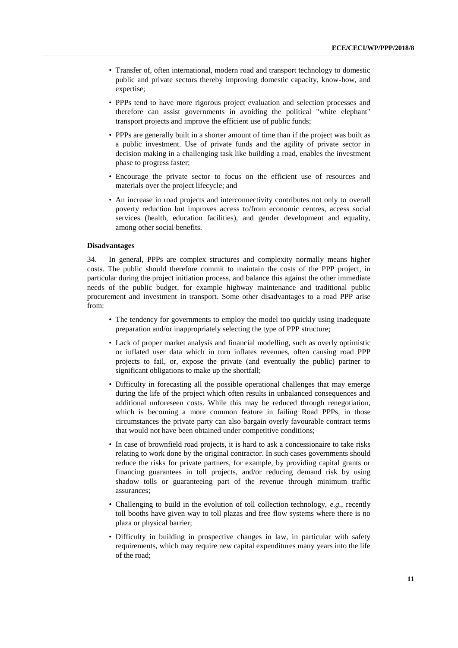- Transfer of, often international, modern road and transport technology to domestic public and private sectors thereby improving domestic capacity, know-how, and expertise;
- PPPs tend to have more rigorous project evaluation and selection processes and therefore can assist governments in avoiding the political "white elephant" transport projects and improve the efficient use of public funds;
- PPPs are generally built in a shorter amount of time than if the project was built as a public investment. Use of private funds and the agility of private sector in decision making in a challenging task like building a road, enables the investment phase to progress faster;
- Encourage the private sector to focus on the efficient use of resources and materials over the project lifecycle; and
- An increase in road projects and interconnectivity contributes not only to overall poverty reduction but improves access to/from economic centres, access social services (health, education facilities), and gender development and equality, among other social benefits.

#### **Disadvantages**

34. In general, PPPs are complex structures and complexity normally means higher costs. The public should therefore commit to maintain the costs of the PPP project, in particular during the project initiation process, and balance this against the other immediate needs of the public budget, for example highway maintenance and traditional public procurement and investment in transport. Some other disadvantages to a road PPP arise from:

- The tendency for governments to employ the model too quickly using inadequate preparation and/or inappropriately selecting the type of PPP structure;
- Lack of proper market analysis and financial modelling, such as overly optimistic or inflated user data which in turn inflates revenues, often causing road PPP projects to fail, or, expose the private (and eventually the public) partner to significant obligations to make up the shortfall;
- Difficulty in forecasting all the possible operational challenges that may emerge during the life of the project which often results in unbalanced consequences and additional unforeseen costs. While this may be reduced through renegotiation, which is becoming a more common feature in failing Road PPPs, in those circumstances the private party can also bargain overly favourable contract terms that would not have been obtained under competitive conditions;
- In case of brownfield road projects, it is hard to ask a concessionaire to take risks relating to work done by the original contractor. In such cases governments should reduce the risks for private partners, for example, by providing capital grants or financing guarantees in toll projects, and/or reducing demand risk by using shadow tolls or guaranteeing part of the revenue through minimum traffic assurances;
- Challenging to build in the evolution of toll collection technology, *e.g.*, recently toll booths have given way to toll plazas and free flow systems where there is no plaza or physical barrier;
- Difficulty in building in prospective changes in law, in particular with safety requirements, which may require new capital expenditures many years into the life of the road;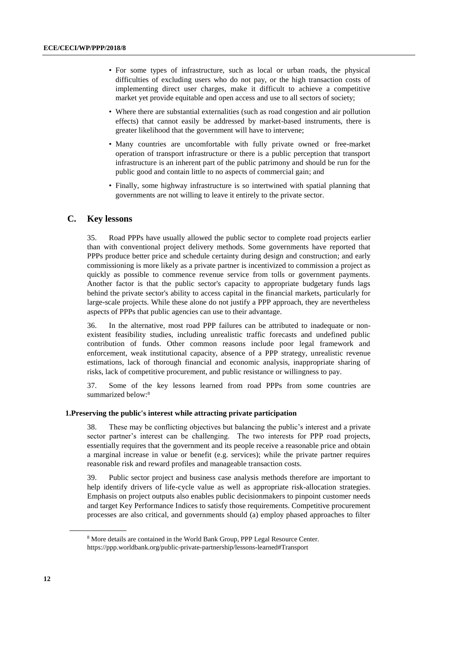- For some types of infrastructure, such as local or urban roads, the physical difficulties of excluding users who do not pay, or the high transaction costs of implementing direct user charges, make it difficult to achieve a competitive market yet provide equitable and open access and use to all sectors of society;
- Where there are substantial externalities (such as road congestion and air pollution effects) that cannot easily be addressed by market-based instruments, there is greater likelihood that the government will have to intervene;
- Many countries are uncomfortable with fully private owned or free-market operation of transport infrastructure or there is a public perception that transport infrastructure is an inherent part of the public patrimony and should be run for the public good and contain little to no aspects of commercial gain; and
- Finally, some highway infrastructure is so intertwined with spatial planning that governments are not willing to leave it entirely to the private sector.

### <span id="page-11-0"></span>**C. Key lessons**

35. Road PPPs have usually allowed the public sector to complete road projects earlier than with conventional project delivery methods. Some governments have reported that PPPs produce better price and schedule certainty during design and construction; and early commissioning is more likely as a private partner is incentivized to commission a project as quickly as possible to commence revenue service from tolls or government payments. Another factor is that the public sector's capacity to appropriate budgetary funds lags behind the private sector's ability to access capital in the financial markets, particularly for large-scale projects. While these alone do not justify a PPP approach, they are nevertheless aspects of PPPs that public agencies can use to their advantage.

36. In the alternative, most road PPP failures can be attributed to inadequate or nonexistent feasibility studies, including unrealistic traffic forecasts and undefined public contribution of funds. Other common reasons include poor legal framework and enforcement, weak institutional capacity, absence of a PPP strategy, unrealistic revenue estimations, lack of thorough financial and economic analysis, inappropriate sharing of risks, lack of competitive procurement, and public resistance or willingness to pay.

37. Some of the key lessons learned from road PPPs from some countries are summarized below:<sup>8</sup>

#### **1.Preserving the public's interest while attracting private participation**

38. These may be conflicting objectives but balancing the public's interest and a private sector partner's interest can be challenging. The two interests for PPP road projects, essentially requires that the government and its people receive a reasonable price and obtain a marginal increase in value or benefit (e.g. services); while the private partner requires reasonable risk and reward profiles and manageable transaction costs.

39. Public sector project and business case analysis methods therefore are important to help identify drivers of life-cycle value as well as appropriate risk-allocation strategies. Emphasis on project outputs also enables public decisionmakers to pinpoint customer needs and target Key Performance Indices to satisfy those requirements. Competitive procurement processes are also critical, and governments should (a) employ phased approaches to filter

<sup>8</sup> More details are contained in the World Bank Group, PPP Legal Resource Center. https://ppp.worldbank.org/public-private-partnership/lessons-learned#Transport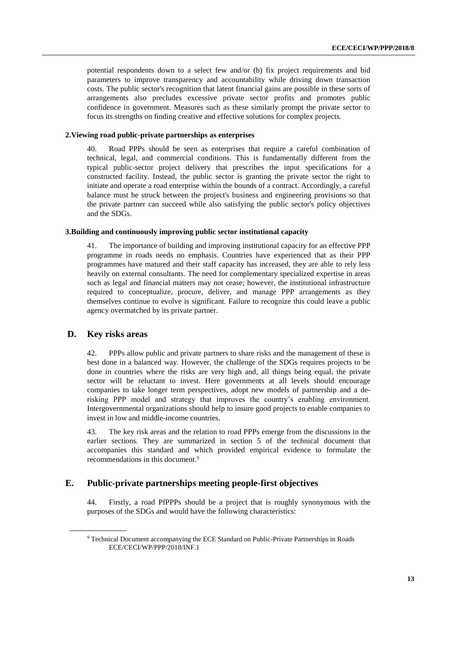potential respondents down to a select few and/or (b) fix project requirements and bid parameters to improve transparency and accountability while driving down transaction costs. The public sector's recognition that latent financial gains are possible in these sorts of arrangements also precludes excessive private sector profits and promotes public confidence in government. Measures such as these similarly prompt the private sector to focus its strengths on finding creative and effective solutions for complex projects.

### **2.Viewing road public-private partnerships as enterprises**

40. Road PPPs should be seen as enterprises that require a careful combination of technical, legal, and commercial conditions. This is fundamentally different from the typical public-sector project delivery that prescribes the input specifications for a constructed facility. Instead, the public sector is granting the private sector the right to initiate and operate a road enterprise within the bounds of a contract. Accordingly, a careful balance must be struck between the project's business and engineering provisions so that the private partner can succeed while also satisfying the public sector's policy objectives and the SDGs.

#### **3.Building and continuously improving public sector institutional capacity**

41. The importance of building and improving institutional capacity for an effective PPP programme in roads needs no emphasis. Countries have experienced that as their PPP programmes have matured and their staff capacity has increased, they are able to rely less heavily on external consultants. The need for complementary specialized expertise in areas such as legal and financial matters may not cease; however, the institutional infrastructure required to conceptualize, procure, deliver, and manage PPP arrangements as they themselves continue to evolve is significant. Failure to recognize this could leave a public agency overmatched by its private partner.

### <span id="page-12-0"></span>**D. Key risks areas**

42. PPPs allow public and private partners to share risks and the management of these is best done in a balanced way. However, the challenge of the SDGs requires projects to be done in countries where the risks are very high and, all things being equal, the private sector will be reluctant to invest. Here governments at all levels should encourage companies to take longer term perspectives, adopt new models of partnership and a derisking PPP model and strategy that improves the country's enabling environment. Intergovernmental organizations should help to insure good projects to enable companies to invest in low and middle-income countries.

43. The key risk areas and the relation to road PPPs emerge from the discussions in the earlier sections. They are summarized in section 5 of the technical document that accompanies this standard and which provided empirical evidence to formulate the recommendations in this document.<sup>9</sup>

## <span id="page-12-1"></span>**E. Public-private partnerships meeting people-first objectives**

44. Firstly, a road PfPPPs should be a project that is roughly synonymous with the purposes of the SDGs and would have the following characteristics:

<sup>9</sup> Technical Document accompanying the ECE Standard on Public-Private Partnerships in Roads ECE/CECI/WP/PPP/2018/INF.1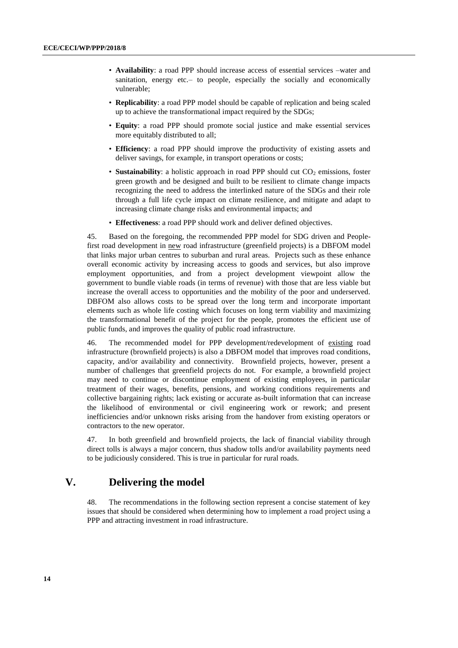- **Availability**: a road PPP should increase access of essential services –water and sanitation, energy etc.– to people, especially the socially and economically vulnerable;
- **Replicability**: a road PPP model should be capable of replication and being scaled up to achieve the transformational impact required by the SDGs;
- **Equity**: a road PPP should promote social justice and make essential services more equitably distributed to all;
- **Efficiency**: a road PPP should improve the productivity of existing assets and deliver savings, for example, in transport operations or costs;
- **Sustainability**: a holistic approach in road PPP should cut CO<sub>2</sub> emissions, foster green growth and be designed and built to be resilient to climate change impacts recognizing the need to address the interlinked nature of the SDGs and their role through a full life cycle impact on climate resilience, and mitigate and adapt to increasing climate change risks and environmental impacts; and
- **Effectiveness**: a road PPP should work and deliver defined objectives.

45. Based on the foregoing, the recommended PPP model for SDG driven and Peoplefirst road development in new road infrastructure (greenfield projects) is a DBFOM model that links major urban centres to suburban and rural areas. Projects such as these enhance overall economic activity by increasing access to goods and services, but also improve employment opportunities, and from a project development viewpoint allow the government to bundle viable roads (in terms of revenue) with those that are less viable but increase the overall access to opportunities and the mobility of the poor and underserved. DBFOM also allows costs to be spread over the long term and incorporate important elements such as whole life costing which focuses on long term viability and maximizing the transformational benefit of the project for the people, promotes the efficient use of public funds, and improves the quality of public road infrastructure.

46. The recommended model for PPP development/redevelopment of existing road infrastructure (brownfield projects) is also a DBFOM model that improves road conditions, capacity, and/or availability and connectivity. Brownfield projects, however, present a number of challenges that greenfield projects do not. For example, a brownfield project may need to continue or discontinue employment of existing employees, in particular treatment of their wages, benefits, pensions, and working conditions requirements and collective bargaining rights; lack existing or accurate as-built information that can increase the likelihood of environmental or civil engineering work or rework; and present inefficiencies and/or unknown risks arising from the handover from existing operators or contractors to the new operator.

47. In both greenfield and brownfield projects, the lack of financial viability through direct tolls is always a major concern, thus shadow tolls and/or availability payments need to be judiciously considered. This is true in particular for rural roads.

## **V. Delivering the model**

<span id="page-13-0"></span>48. The recommendations in the following section represent a concise statement of key issues that should be considered when determining how to implement a road project using a PPP and attracting investment in road infrastructure.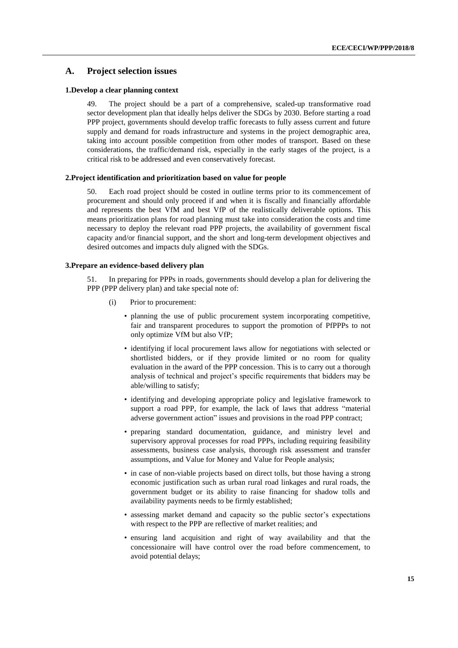### <span id="page-14-0"></span>**A. Project selection issues**

#### **1.Develop a clear planning context**

49. The project should be a part of a comprehensive, scaled-up transformative road sector development plan that ideally helps deliver the SDGs by 2030. Before starting a road PPP project, governments should develop traffic forecasts to fully assess current and future supply and demand for roads infrastructure and systems in the project demographic area, taking into account possible competition from other modes of transport. Based on these considerations, the traffic/demand risk, especially in the early stages of the project, is a critical risk to be addressed and even conservatively forecast.

#### **2.Project identification and prioritization based on value for people**

50. Each road project should be costed in outline terms prior to its commencement of procurement and should only proceed if and when it is fiscally and financially affordable and represents the best VfM and best VfP of the realistically deliverable options. This means prioritization plans for road planning must take into consideration the costs and time necessary to deploy the relevant road PPP projects, the availability of government fiscal capacity and/or financial support, and the short and long-term development objectives and desired outcomes and impacts duly aligned with the SDGs.

#### **3.Prepare an evidence-based delivery plan**

51. In preparing for PPPs in roads, governments should develop a plan for delivering the PPP (PPP delivery plan) and take special note of:

- (i) Prior to procurement:
	- planning the use of public procurement system incorporating competitive, fair and transparent procedures to support the promotion of PfPPPs to not only optimize VfM but also VfP;
	- identifying if local procurement laws allow for negotiations with selected or shortlisted bidders, or if they provide limited or no room for quality evaluation in the award of the PPP concession. This is to carry out a thorough analysis of technical and project's specific requirements that bidders may be able/willing to satisfy;
	- identifying and developing appropriate policy and legislative framework to support a road PPP, for example, the lack of laws that address "material adverse government action" issues and provisions in the road PPP contract;
	- preparing standard documentation, guidance, and ministry level and supervisory approval processes for road PPPs, including requiring feasibility assessments, business case analysis, thorough risk assessment and transfer assumptions, and Value for Money and Value for People analysis;
	- in case of non-viable projects based on direct tolls, but those having a strong economic justification such as urban rural road linkages and rural roads, the government budget or its ability to raise financing for shadow tolls and availability payments needs to be firmly established;
	- assessing market demand and capacity so the public sector's expectations with respect to the PPP are reflective of market realities; and
	- ensuring land acquisition and right of way availability and that the concessionaire will have control over the road before commencement, to avoid potential delays;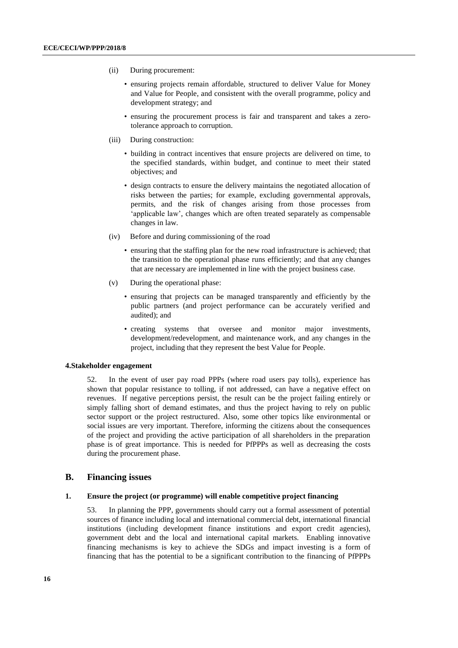- (ii) During procurement:
	- ensuring projects remain affordable, structured to deliver Value for Money and Value for People, and consistent with the overall programme, policy and development strategy; and
	- ensuring the procurement process is fair and transparent and takes a zerotolerance approach to corruption.
- (iii) During construction:
	- building in contract incentives that ensure projects are delivered on time, to the specified standards, within budget, and continue to meet their stated objectives; and
	- design contracts to ensure the delivery maintains the negotiated allocation of risks between the parties; for example, excluding governmental approvals, permits, and the risk of changes arising from those processes from 'applicable law', changes which are often treated separately as compensable changes in law.
- (iv) Before and during commissioning of the road
	- ensuring that the staffing plan for the new road infrastructure is achieved; that the transition to the operational phase runs efficiently; and that any changes that are necessary are implemented in line with the project business case.
- (v) During the operational phase:
	- ensuring that projects can be managed transparently and efficiently by the public partners (and project performance can be accurately verified and audited); and
	- creating systems that oversee and monitor major investments, development/redevelopment, and maintenance work, and any changes in the project, including that they represent the best Value for People.

#### **4.Stakeholder engagement**

52. In the event of user pay road PPPs (where road users pay tolls), experience has shown that popular resistance to tolling, if not addressed, can have a negative effect on revenues. If negative perceptions persist, the result can be the project failing entirely or simply falling short of demand estimates, and thus the project having to rely on public sector support or the project restructured. Also, some other topics like environmental or social issues are very important. Therefore, informing the citizens about the consequences of the project and providing the active participation of all shareholders in the preparation phase is of great importance. This is needed for PfPPPs as well as decreasing the costs during the procurement phase.

## <span id="page-15-0"></span>**B. Financing issues**

#### **1. Ensure the project (or programme) will enable competitive project financing**

53. In planning the PPP, governments should carry out a formal assessment of potential sources of finance including local and international commercial debt, international financial institutions (including development finance institutions and export credit agencies), government debt and the local and international capital markets. Enabling innovative financing mechanisms is key to achieve the SDGs and impact investing is a form of financing that has the potential to be a significant contribution to the financing of PfPPPs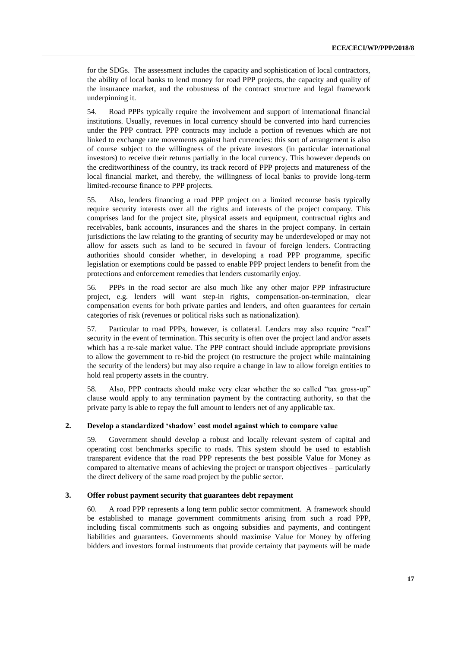for the SDGs. The assessment includes the capacity and sophistication of local contractors, the ability of local banks to lend money for road PPP projects, the capacity and quality of the insurance market, and the robustness of the contract structure and legal framework underpinning it.

54. Road PPPs typically require the involvement and support of international financial institutions. Usually, revenues in local currency should be converted into hard currencies under the PPP contract. PPP contracts may include a portion of revenues which are not linked to exchange rate movements against hard currencies: this sort of arrangement is also of course subject to the willingness of the private investors (in particular international investors) to receive their returns partially in the local currency. This however depends on the creditworthiness of the country, its track record of PPP projects and matureness of the local financial market, and thereby, the willingness of local banks to provide long-term limited-recourse finance to PPP projects.

55. Also, lenders financing a road PPP project on a limited recourse basis typically require security interests over all the rights and interests of the project company. This comprises land for the project site, physical assets and equipment, contractual rights and receivables, bank accounts, insurances and the shares in the project company. In certain jurisdictions the law relating to the granting of security may be underdeveloped or may not allow for assets such as land to be secured in favour of foreign lenders. Contracting authorities should consider whether, in developing a road PPP programme, specific legislation or exemptions could be passed to enable PPP project lenders to benefit from the protections and enforcement remedies that lenders customarily enjoy.

56. PPPs in the road sector are also much like any other major PPP infrastructure project, e.g. lenders will want step-in rights, compensation-on-termination, clear compensation events for both private parties and lenders, and often guarantees for certain categories of risk (revenues or political risks such as nationalization).

57. Particular to road PPPs, however, is collateral. Lenders may also require "real" security in the event of termination. This security is often over the project land and/or assets which has a re-sale market value. The PPP contract should include appropriate provisions to allow the government to re-bid the project (to restructure the project while maintaining the security of the lenders) but may also require a change in law to allow foreign entities to hold real property assets in the country.

58. Also, PPP contracts should make very clear whether the so called "tax gross-up" clause would apply to any termination payment by the contracting authority, so that the private party is able to repay the full amount to lenders net of any applicable tax.

### **2. Develop a standardized 'shadow' cost model against which to compare value**

59. Government should develop a robust and locally relevant system of capital and operating cost benchmarks specific to roads. This system should be used to establish transparent evidence that the road PPP represents the best possible Value for Money as compared to alternative means of achieving the project or transport objectives – particularly the direct delivery of the same road project by the public sector.

#### **3. Offer robust payment security that guarantees debt repayment**

60. A road PPP represents a long term public sector commitment. A framework should be established to manage government commitments arising from such a road PPP, including fiscal commitments such as ongoing subsidies and payments, and contingent liabilities and guarantees. Governments should maximise Value for Money by offering bidders and investors formal instruments that provide certainty that payments will be made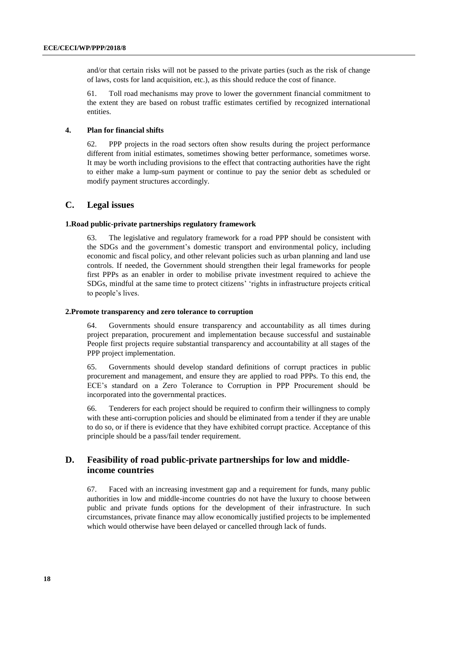and/or that certain risks will not be passed to the private parties (such as the risk of change of laws, costs for land acquisition, etc.), as this should reduce the cost of finance.

61. Toll road mechanisms may prove to lower the government financial commitment to the extent they are based on robust traffic estimates certified by recognized international entities.

### **4. Plan for financial shifts**

62. PPP projects in the road sectors often show results during the project performance different from initial estimates, sometimes showing better performance, sometimes worse. It may be worth including provisions to the effect that contracting authorities have the right to either make a lump-sum payment or continue to pay the senior debt as scheduled or modify payment structures accordingly.

#### <span id="page-17-0"></span>**C. Legal issues**

#### **1.Road public-private partnerships regulatory framework**

The legislative and regulatory framework for a road PPP should be consistent with the SDGs and the government's domestic transport and environmental policy, including economic and fiscal policy, and other relevant policies such as urban planning and land use controls. If needed, the Government should strengthen their legal frameworks for people first PPPs as an enabler in order to mobilise private investment required to achieve the SDGs, mindful at the same time to protect citizens' 'rights in infrastructure projects critical to people's lives.

#### **2.Promote transparency and zero tolerance to corruption**

64. Governments should ensure transparency and accountability as all times during project preparation, procurement and implementation because successful and sustainable People first projects require substantial transparency and accountability at all stages of the PPP project implementation.

65. Governments should develop standard definitions of corrupt practices in public procurement and management, and ensure they are applied to road PPPs. To this end, the ECE's standard on a Zero Tolerance to Corruption in PPP Procurement should be incorporated into the governmental practices.

66. Tenderers for each project should be required to confirm their willingness to comply with these anti-corruption policies and should be eliminated from a tender if they are unable to do so, or if there is evidence that they have exhibited corrupt practice. Acceptance of this principle should be a pass/fail tender requirement.

## <span id="page-17-1"></span>**D. Feasibility of road public-private partnerships for low and middleincome countries**

67. Faced with an increasing investment gap and a requirement for funds, many public authorities in low and middle-income countries do not have the luxury to choose between public and private funds options for the development of their infrastructure. In such circumstances, private finance may allow economically justified projects to be implemented which would otherwise have been delayed or cancelled through lack of funds.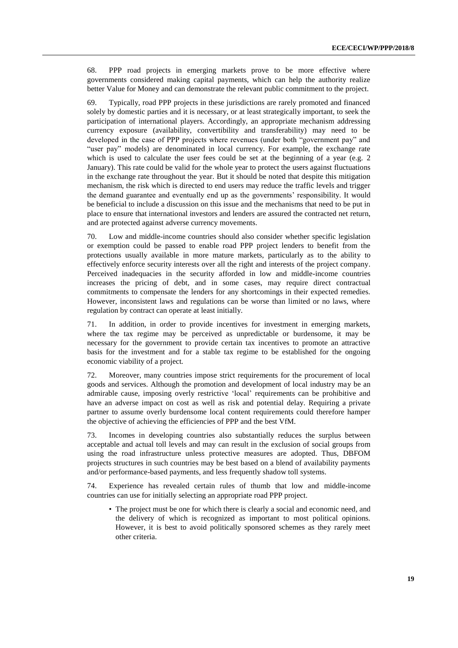68. PPP road projects in emerging markets prove to be more effective where governments considered making capital payments, which can help the authority realize better Value for Money and can demonstrate the relevant public commitment to the project.

69. Typically, road PPP projects in these jurisdictions are rarely promoted and financed solely by domestic parties and it is necessary, or at least strategically important, to seek the participation of international players. Accordingly, an appropriate mechanism addressing currency exposure (availability, convertibility and transferability) may need to be developed in the case of PPP projects where revenues (under both "government pay" and "user pay" models) are denominated in local currency. For example, the exchange rate which is used to calculate the user fees could be set at the beginning of a year (e.g. 2) January). This rate could be valid for the whole year to protect the users against fluctuations in the exchange rate throughout the year. But it should be noted that despite this mitigation mechanism, the risk which is directed to end users may reduce the traffic levels and trigger the demand guarantee and eventually end up as the governments' responsibility. It would be beneficial to include a discussion on this issue and the mechanisms that need to be put in place to ensure that international investors and lenders are assured the contracted net return, and are protected against adverse currency movements.

70. Low and middle-income countries should also consider whether specific legislation or exemption could be passed to enable road PPP project lenders to benefit from the protections usually available in more mature markets, particularly as to the ability to effectively enforce security interests over all the right and interests of the project company. Perceived inadequacies in the security afforded in low and middle-income countries increases the pricing of debt, and in some cases, may require direct contractual commitments to compensate the lenders for any shortcomings in their expected remedies. However, inconsistent laws and regulations can be worse than limited or no laws, where regulation by contract can operate at least initially.

71. In addition, in order to provide incentives for investment in emerging markets, where the tax regime may be perceived as unpredictable or burdensome, it may be necessary for the government to provide certain tax incentives to promote an attractive basis for the investment and for a stable tax regime to be established for the ongoing economic viability of a project.

72. Moreover, many countries impose strict requirements for the procurement of local goods and services. Although the promotion and development of local industry may be an admirable cause, imposing overly restrictive 'local' requirements can be prohibitive and have an adverse impact on cost as well as risk and potential delay. Requiring a private partner to assume overly burdensome local content requirements could therefore hamper the objective of achieving the efficiencies of PPP and the best VfM.

73. Incomes in developing countries also substantially reduces the surplus between acceptable and actual toll levels and may can result in the exclusion of social groups from using the road infrastructure unless protective measures are adopted. Thus, DBFOM projects structures in such countries may be best based on a blend of availability payments and/or performance-based payments, and less frequently shadow toll systems.

74. Experience has revealed certain rules of thumb that low and middle-income countries can use for initially selecting an appropriate road PPP project.

• The project must be one for which there is clearly a social and economic need, and the delivery of which is recognized as important to most political opinions. However, it is best to avoid politically sponsored schemes as they rarely meet other criteria.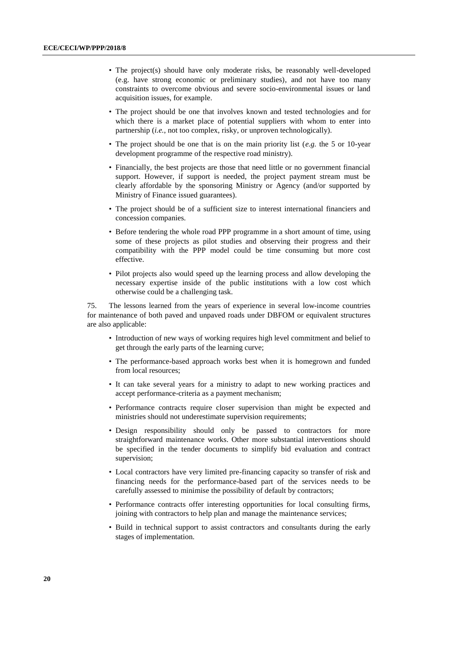- The project(s) should have only moderate risks, be reasonably well-developed (e.g. have strong economic or preliminary studies), and not have too many constraints to overcome obvious and severe socio-environmental issues or land acquisition issues, for example.
- The project should be one that involves known and tested technologies and for which there is a market place of potential suppliers with whom to enter into partnership (*i.e.*, not too complex, risky, or unproven technologically).
- The project should be one that is on the main priority list (*e.g.* the 5 or 10-year development programme of the respective road ministry).
- Financially, the best projects are those that need little or no government financial support. However, if support is needed, the project payment stream must be clearly affordable by the sponsoring Ministry or Agency (and/or supported by Ministry of Finance issued guarantees).
- The project should be of a sufficient size to interest international financiers and concession companies.
- Before tendering the whole road PPP programme in a short amount of time, using some of these projects as pilot studies and observing their progress and their compatibility with the PPP model could be time consuming but more cost effective.
- Pilot projects also would speed up the learning process and allow developing the necessary expertise inside of the public institutions with a low cost which otherwise could be a challenging task.

75. The lessons learned from the years of experience in several low-income countries for maintenance of both paved and unpaved roads under DBFOM or equivalent structures are also applicable:

- Introduction of new ways of working requires high level commitment and belief to get through the early parts of the learning curve;
- The performance-based approach works best when it is homegrown and funded from local resources;
- It can take several years for a ministry to adapt to new working practices and accept performance-criteria as a payment mechanism;
- Performance contracts require closer supervision than might be expected and ministries should not underestimate supervision requirements;
- Design responsibility should only be passed to contractors for more straightforward maintenance works. Other more substantial interventions should be specified in the tender documents to simplify bid evaluation and contract supervision;
- Local contractors have very limited pre-financing capacity so transfer of risk and financing needs for the performance-based part of the services needs to be carefully assessed to minimise the possibility of default by contractors;
- Performance contracts offer interesting opportunities for local consulting firms, joining with contractors to help plan and manage the maintenance services;
- Build in technical support to assist contractors and consultants during the early stages of implementation.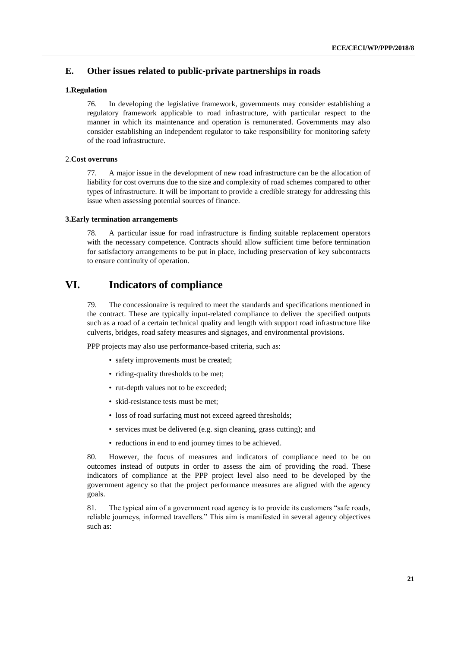## <span id="page-20-0"></span>**E. Other issues related to public-private partnerships in roads**

#### **1.Regulation**

76. In developing the legislative framework, governments may consider establishing a regulatory framework applicable to road infrastructure, with particular respect to the manner in which its maintenance and operation is remunerated. Governments may also consider establishing an independent regulator to take responsibility for monitoring safety of the road infrastructure.

#### 2.**Cost overruns**

77. A major issue in the development of new road infrastructure can be the allocation of liability for cost overruns due to the size and complexity of road schemes compared to other types of infrastructure. It will be important to provide a credible strategy for addressing this issue when assessing potential sources of finance.

#### **3.Early termination arrangements**

78. A particular issue for road infrastructure is finding suitable replacement operators with the necessary competence. Contracts should allow sufficient time before termination for satisfactory arrangements to be put in place, including preservation of key subcontracts to ensure continuity of operation.

## **VI. Indicators of compliance**

<span id="page-20-1"></span>79. The concessionaire is required to meet the standards and specifications mentioned in the contract. These are typically input-related compliance to deliver the specified outputs such as a road of a certain technical quality and length with support road infrastructure like culverts, bridges, road safety measures and signages, and environmental provisions.

PPP projects may also use performance-based criteria, such as:

- safety improvements must be created;
- riding-quality thresholds to be met;
- rut-depth values not to be exceeded;
- skid-resistance tests must be met;
- loss of road surfacing must not exceed agreed thresholds;
- services must be delivered (e.g. sign cleaning, grass cutting); and
- reductions in end to end journey times to be achieved.

80. However, the focus of measures and indicators of compliance need to be on outcomes instead of outputs in order to assess the aim of providing the road. These indicators of compliance at the PPP project level also need to be developed by the government agency so that the project performance measures are aligned with the agency goals.

81. The typical aim of a government road agency is to provide its customers "safe roads, reliable journeys, informed travellers." This aim is manifested in several agency objectives such as: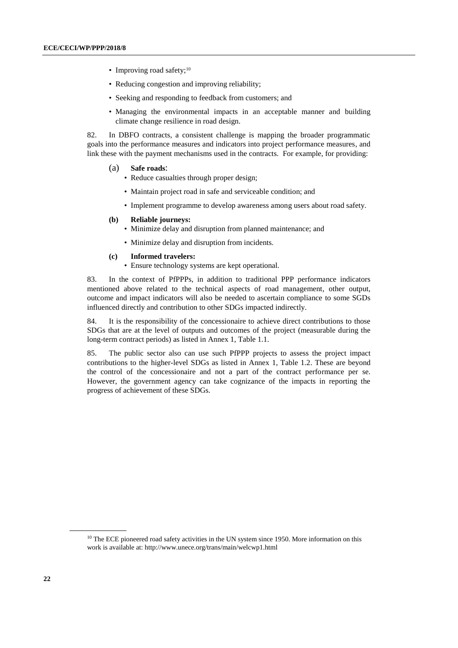- Improving road safety;<sup>10</sup>
- Reducing congestion and improving reliability;
- Seeking and responding to feedback from customers; and
- Managing the environmental impacts in an acceptable manner and building climate change resilience in road design.

82. In DBFO contracts, a consistent challenge is mapping the broader programmatic goals into the performance measures and indicators into project performance measures, and link these with the payment mechanisms used in the contracts. For example, for providing:

- (a) **Safe roads**:
	- Reduce casualties through proper design;
	- Maintain project road in safe and serviceable condition; and
	- Implement programme to develop awareness among users about road safety.

#### **(b) Reliable journeys:**

- Minimize delay and disruption from planned maintenance; and
- Minimize delay and disruption from incidents.

#### **(c) Informed travelers:**

• Ensure technology systems are kept operational.

83. In the context of PfPPPs, in addition to traditional PPP performance indicators mentioned above related to the technical aspects of road management, other output, outcome and impact indicators will also be needed to ascertain compliance to some SGDs influenced directly and contribution to other SDGs impacted indirectly.

84. It is the responsibility of the concessionaire to achieve direct contributions to those SDGs that are at the level of outputs and outcomes of the project (measurable during the long-term contract periods) as listed in Annex 1, Table 1.1.

85. The public sector also can use such PfPPP projects to assess the project impact contributions to the higher-level SDGs as listed in Annex 1, Table 1.2. These are beyond the control of the concessionaire and not a part of the contract performance per se. However, the government agency can take cognizance of the impacts in reporting the progress of achievement of these SDGs.

<sup>&</sup>lt;sup>10</sup> The ECE pioneered road safety activities in the UN system since 1950. More information on this work is available at:<http://www.unece.org/trans/main/welcwp1.html>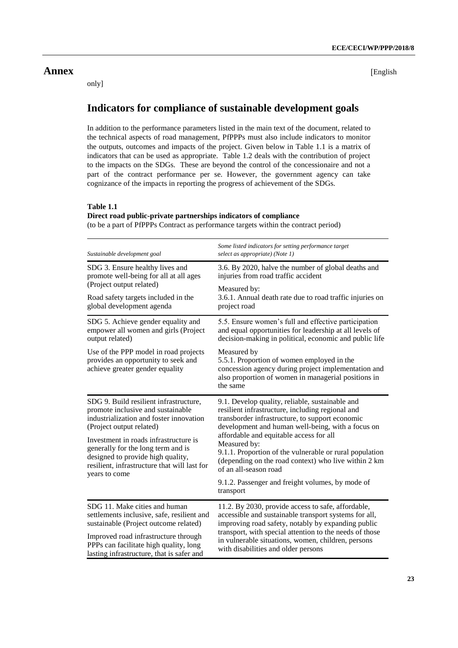## <span id="page-22-0"></span>**Annex** [English

only]

## <span id="page-22-1"></span>**Indicators for compliance of sustainable development goals**

In addition to the performance parameters listed in the main text of the document, related to the technical aspects of road management, PfPPPs must also include indicators to monitor the outputs, outcomes and impacts of the project. Given below in Table 1.1 is a matrix of indicators that can be used as appropriate. Table 1.2 deals with the contribution of project to the impacts on the SDGs. These are beyond the control of the concessionaire and not a part of the contract performance per se. However, the government agency can take cognizance of the impacts in reporting the progress of achievement of the SDGs.

## **Table 1.1**

### **Direct road public-private partnerships indicators of compliance**

(to be a part of PfPPPs Contract as performance targets within the contract period)

| Sustainable development goal                                                                                                                                                                                                      | Some listed indicators for setting performance target<br>select as appropriate) (Note 1)                                                                                                                                                                                                                                          |  |
|-----------------------------------------------------------------------------------------------------------------------------------------------------------------------------------------------------------------------------------|-----------------------------------------------------------------------------------------------------------------------------------------------------------------------------------------------------------------------------------------------------------------------------------------------------------------------------------|--|
| SDG 3. Ensure healthy lives and<br>promote well-being for all at all ages                                                                                                                                                         | 3.6. By 2020, halve the number of global deaths and<br>injuries from road traffic accident                                                                                                                                                                                                                                        |  |
| (Project output related)                                                                                                                                                                                                          | Measured by:                                                                                                                                                                                                                                                                                                                      |  |
| Road safety targets included in the<br>global development agenda                                                                                                                                                                  | 3.6.1. Annual death rate due to road traffic injuries on<br>project road                                                                                                                                                                                                                                                          |  |
| SDG 5. Achieve gender equality and<br>empower all women and girls (Project<br>output related)                                                                                                                                     | 5.5. Ensure women's full and effective participation<br>and equal opportunities for leadership at all levels of<br>decision-making in political, economic and public life                                                                                                                                                         |  |
| Use of the PPP model in road projects<br>provides an opportunity to seek and<br>achieve greater gender equality                                                                                                                   | Measured by<br>5.5.1. Proportion of women employed in the<br>concession agency during project implementation and<br>also proportion of women in managerial positions in<br>the same                                                                                                                                               |  |
| SDG 9. Build resilient infrastructure,<br>promote inclusive and sustainable<br>industrialization and foster innovation<br>(Project output related)<br>Investment in roads infrastructure is<br>generally for the long term and is | 9.1. Develop quality, reliable, sustainable and<br>resilient infrastructure, including regional and<br>transborder infrastructure, to support economic<br>development and human well-being, with a focus on<br>affordable and equitable access for all<br>Measured by:<br>9.1.1. Proportion of the vulnerable or rural population |  |
| designed to provide high quality,<br>resilient, infrastructure that will last for<br>years to come                                                                                                                                | (depending on the road context) who live within 2 km<br>of an all-season road                                                                                                                                                                                                                                                     |  |
|                                                                                                                                                                                                                                   | 9.1.2. Passenger and freight volumes, by mode of<br>transport                                                                                                                                                                                                                                                                     |  |
| SDG 11. Make cities and human                                                                                                                                                                                                     | 11.2. By 2030, provide access to safe, affordable,                                                                                                                                                                                                                                                                                |  |
| settlements inclusive, safe, resilient and<br>sustainable (Project outcome related)                                                                                                                                               | accessible and sustainable transport systems for all,<br>improving road safety, notably by expanding public                                                                                                                                                                                                                       |  |
| Improved road infrastructure through<br>PPPs can facilitate high quality, long<br>lasting infrastructure, that is safer and                                                                                                       | transport, with special attention to the needs of those<br>in vulnerable situations, women, children, persons<br>with disabilities and older persons                                                                                                                                                                              |  |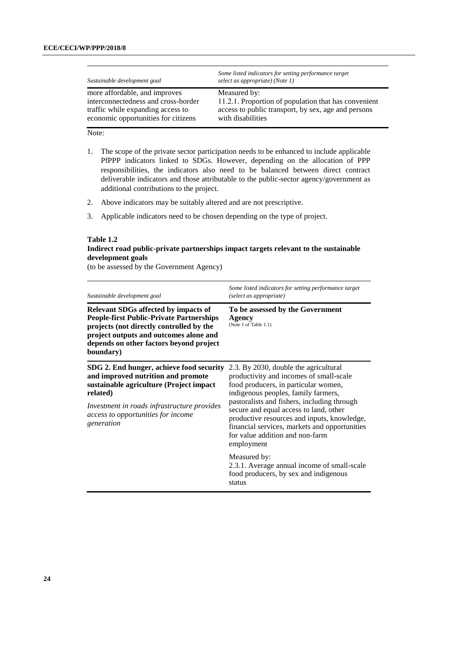| Sustainable development goal        | Some listed indicators for setting performance target<br>select as appropriate) (Note 1) |
|-------------------------------------|------------------------------------------------------------------------------------------|
| more affordable, and improves       | Measured by:                                                                             |
| interconnectedness and cross-border | 11.2.1. Proportion of population that has convenient                                     |
| traffic while expanding access to   | access to public transport, by sex, age and persons                                      |
| economic opportunities for citizens | with disabilities                                                                        |

Note:

- 1. The scope of the private sector participation needs to be enhanced to include applicable PfPPP indicators linked to SDGs. However, depending on the allocation of PPP responsibilities, the indicators also need to be balanced between direct contract deliverable indicators and those attributable to the public-sector agency/government as additional contributions to the project.
- 2. Above indicators may be suitably altered and are not prescriptive.
- 3. Applicable indicators need to be chosen depending on the type of project.

#### **Table 1.2**

## **Indirect road public-private partnerships impact targets relevant to the sustainable development goals**

(to be assessed by the Government Agency)

| Sustainable development goal                                                                                                                                                                                                                 | Some listed indicators for setting performance target<br>(select as appropriate)                                                                                                                                                                                                                                                                                                                          |
|----------------------------------------------------------------------------------------------------------------------------------------------------------------------------------------------------------------------------------------------|-----------------------------------------------------------------------------------------------------------------------------------------------------------------------------------------------------------------------------------------------------------------------------------------------------------------------------------------------------------------------------------------------------------|
| <b>Relevant SDGs affected by impacts of</b><br><b>People-first Public-Private Partnerships</b><br>projects (not directly controlled by the<br>project outputs and outcomes alone and<br>depends on other factors beyond project<br>boundary) | To be assessed by the Government<br>Agency<br>(Note 1 of Table 1.1)                                                                                                                                                                                                                                                                                                                                       |
| SDG 2. End hunger, achieve food security<br>and improved nutrition and promote<br>sustainable agriculture (Project impact<br>related)<br>Investment in roads infrastructure provides<br>access to opportunities for income<br>generation     | 2.3. By 2030, double the agricultural<br>productivity and incomes of small-scale<br>food producers, in particular women,<br>indigenous peoples, family farmers,<br>pastoralists and fishers, including through<br>secure and equal access to land, other<br>productive resources and inputs, knowledge,<br>financial services, markets and opportunities<br>for value addition and non-farm<br>employment |
|                                                                                                                                                                                                                                              | Measured by:<br>2.3.1. Average annual income of small-scale<br>food producers, by sex and indigenous<br>status                                                                                                                                                                                                                                                                                            |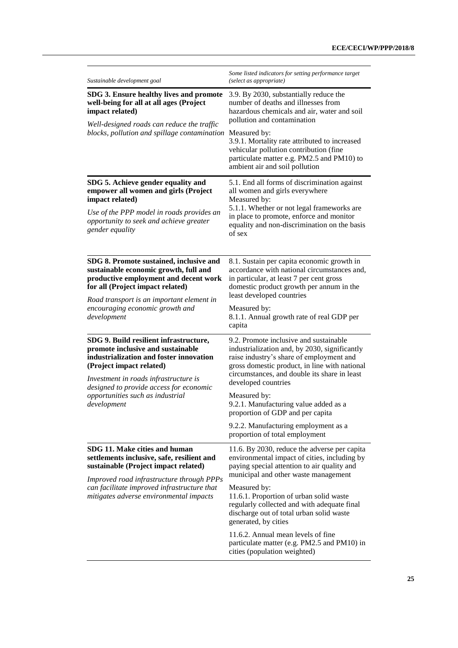| Sustainable development goal                                                                                                                                                                | Some listed indicators for setting performance target<br>(select as appropriate)                                                                                                                                                                            |
|---------------------------------------------------------------------------------------------------------------------------------------------------------------------------------------------|-------------------------------------------------------------------------------------------------------------------------------------------------------------------------------------------------------------------------------------------------------------|
| SDG 3. Ensure healthy lives and promote<br>well-being for all at all ages (Project<br>impact related)                                                                                       | 3.9. By 2030, substantially reduce the<br>number of deaths and illnesses from<br>hazardous chemicals and air, water and soil<br>pollution and contamination                                                                                                 |
| Well-designed roads can reduce the traffic<br>blocks, pollution and spillage contamination Measured by:                                                                                     | 3.9.1. Mortality rate attributed to increased<br>vehicular pollution contribution (fine<br>particulate matter e.g. PM2.5 and PM10) to<br>ambient air and soil pollution                                                                                     |
| SDG 5. Achieve gender equality and<br>empower all women and girls (Project<br>impact related)                                                                                               | 5.1. End all forms of discrimination against<br>all women and girls everywhere<br>Measured by:<br>5.1.1. Whether or not legal frameworks are<br>in place to promote, enforce and monitor<br>equality and non-discrimination on the basis<br>of sex          |
| Use of the PPP model in roads provides an<br>opportunity to seek and achieve greater<br>gender equality                                                                                     |                                                                                                                                                                                                                                                             |
| SDG 8. Promote sustained, inclusive and<br>sustainable economic growth, full and<br>productive employment and decent work<br>for all (Project impact related)                               | 8.1. Sustain per capita economic growth in<br>accordance with national circumstances and,<br>in particular, at least 7 per cent gross<br>domestic product growth per annum in the<br>least developed countries                                              |
| Road transport is an important element in<br>encouraging economic growth and<br>development                                                                                                 | Measured by:<br>8.1.1. Annual growth rate of real GDP per<br>capita                                                                                                                                                                                         |
| SDG 9. Build resilient infrastructure,<br>promote inclusive and sustainable<br>industrialization and foster innovation<br>(Project impact related)<br>Investment in roads infrastructure is | 9.2. Promote inclusive and sustainable<br>industrialization and, by 2030, significantly<br>raise industry's share of employment and<br>gross domestic product, in line with national<br>circumstances, and double its share in least<br>developed countries |
| designed to provide access for economic<br>opportunities such as industrial<br>development                                                                                                  | Measured by:<br>9.2.1. Manufacturing value added as a<br>proportion of GDP and per capita                                                                                                                                                                   |
|                                                                                                                                                                                             | 9.2.2. Manufacturing employment as a<br>proportion of total employment                                                                                                                                                                                      |
| SDG 11. Make cities and human<br>settlements inclusive, safe, resilient and<br>sustainable (Project impact related)                                                                         | 11.6. By 2030, reduce the adverse per capita<br>environmental impact of cities, including by<br>paying special attention to air quality and<br>municipal and other waste management                                                                         |
| Improved road infrastructure through PPPs<br>can facilitate improved infrastructure that<br>mitigates adverse environmental impacts                                                         | Measured by:<br>11.6.1. Proportion of urban solid waste<br>regularly collected and with adequate final<br>discharge out of total urban solid waste<br>generated, by cities                                                                                  |
|                                                                                                                                                                                             | 11.6.2. Annual mean levels of fine<br>particulate matter (e.g. PM2.5 and PM10) in<br>cities (population weighted)                                                                                                                                           |